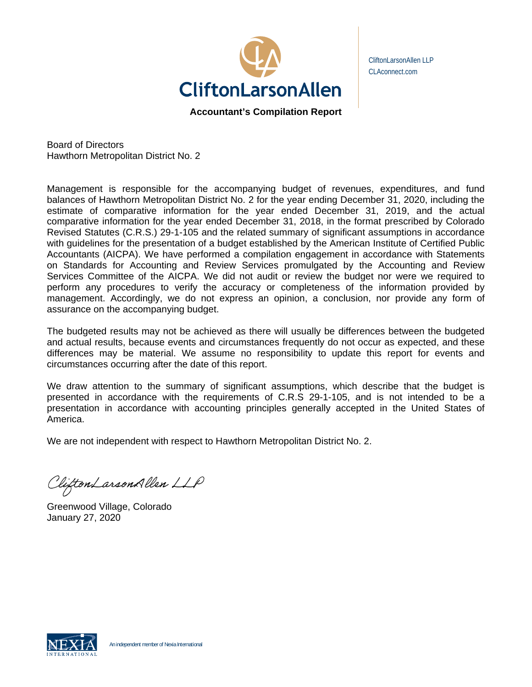

CliftonLarsonAllen LLP CLAconnect.com

**Accountant's Compilation Report** 

Board of Directors Hawthorn Metropolitan District No. 2

Management is responsible for the accompanying budget of revenues, expenditures, and fund balances of Hawthorn Metropolitan District No. 2 for the year ending December 31, 2020, including the estimate of comparative information for the year ended December 31, 2019, and the actual comparative information for the year ended December 31, 2018, in the format prescribed by Colorado Revised Statutes (C.R.S.) 29-1-105 and the related summary of significant assumptions in accordance with guidelines for the presentation of a budget established by the American Institute of Certified Public Accountants (AICPA). We have performed a compilation engagement in accordance with Statements on Standards for Accounting and Review Services promulgated by the Accounting and Review Services Committee of the AICPA. We did not audit or review the budget nor were we required to perform any procedures to verify the accuracy or completeness of the information provided by management. Accordingly, we do not express an opinion, a conclusion, nor provide any form of assurance on the accompanying budget.

The budgeted results may not be achieved as there will usually be differences between the budgeted and actual results, because events and circumstances frequently do not occur as expected, and these differences may be material. We assume no responsibility to update this report for events and circumstances occurring after the date of this report.

We draw attention to the summary of significant assumptions, which describe that the budget is presented in accordance with the requirements of C.R.S 29-1-105, and is not intended to be a presentation in accordance with accounting principles generally accepted in the United States of America.

We are not independent with respect to Hawthorn Metropolitan District No. 2.

Clifton Larson Allen LLP

Greenwood Village, Colorado January 27, 2020

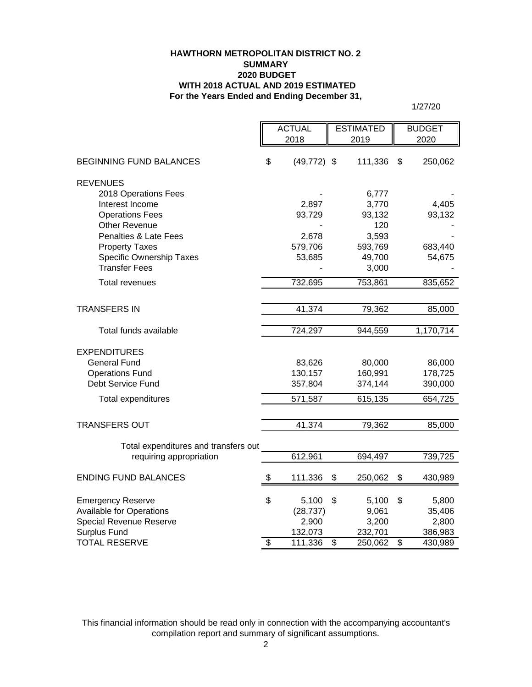#### **HAWTHORN METROPOLITAN DISTRICT NO. 2 SUMMARY 2020 BUDGET WITH 2018 ACTUAL AND 2019 ESTIMATED For the Years Ended and Ending December 31,**

1/27/20

|                                      | <b>ACTUAL</b><br><b>ESTIMATED</b> |      | <b>BUDGET</b> |      |           |
|--------------------------------------|-----------------------------------|------|---------------|------|-----------|
|                                      | 2018                              | 2019 |               | 2020 |           |
|                                      |                                   |      |               |      |           |
| <b>BEGINNING FUND BALANCES</b>       | \$<br>$(49, 772)$ \$              |      | 111,336       | \$   | 250,062   |
| <b>REVENUES</b>                      |                                   |      |               |      |           |
| 2018 Operations Fees                 |                                   |      | 6,777         |      |           |
| Interest Income                      | 2,897                             |      | 3,770         |      | 4,405     |
| <b>Operations Fees</b>               | 93,729                            |      | 93,132        |      | 93,132    |
| <b>Other Revenue</b>                 |                                   |      | 120           |      |           |
| Penalties & Late Fees                | 2,678                             |      | 3,593         |      |           |
| <b>Property Taxes</b>                | 579,706                           |      | 593,769       |      | 683,440   |
| Specific Ownership Taxes             | 53,685                            |      | 49,700        |      | 54,675    |
| <b>Transfer Fees</b>                 |                                   |      | 3,000         |      |           |
| Total revenues                       | 732,695                           |      | 753,861       |      | 835,652   |
|                                      |                                   |      |               |      |           |
| TRANSFERS IN                         | 41,374                            |      | 79,362        |      | 85,000    |
|                                      |                                   |      |               |      |           |
| Total funds available                | 724,297                           |      | 944,559       |      | 1,170,714 |
| <b>EXPENDITURES</b>                  |                                   |      |               |      |           |
| <b>General Fund</b>                  | 83,626                            |      | 80,000        |      | 86,000    |
| <b>Operations Fund</b>               | 130,157                           |      | 160,991       |      | 178,725   |
| Debt Service Fund                    | 357,804                           |      | 374,144       |      | 390,000   |
| <b>Total expenditures</b>            | 571,587                           |      | 615,135       |      | 654,725   |
|                                      |                                   |      |               |      |           |
| <b>TRANSFERS OUT</b>                 | 41,374                            |      | 79,362        |      | 85,000    |
|                                      |                                   |      |               |      |           |
| Total expenditures and transfers out |                                   |      |               |      |           |
| requiring appropriation              | 612,961                           |      | 694,497       |      | 739,725   |
| <b>ENDING FUND BALANCES</b>          | \$<br>111,336                     | \$   | 250,062       | \$   | 430,989   |
| <b>Emergency Reserve</b>             | \$<br>5,100                       | \$   | 5,100         | \$   | 5,800     |
| <b>Available for Operations</b>      | (28, 737)                         |      | 9,061         |      | 35,406    |
| Special Revenue Reserve              | 2,900                             |      | 3,200         |      | 2,800     |
| <b>Surplus Fund</b>                  | 132,073                           |      | 232,701       |      | 386,983   |
| <b>TOTAL RESERVE</b>                 | \$<br>111,336                     | \$   | 250,062       | \$   | 430,989   |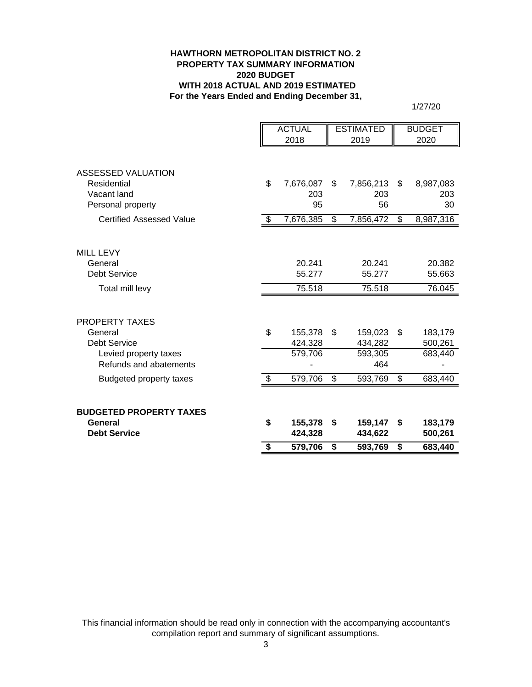#### **HAWTHORN METROPOLITAN DISTRICT NO. 2 PROPERTY TAX SUMMARY INFORMATION 2020 BUDGET WITH 2018 ACTUAL AND 2019 ESTIMATED For the Years Ended and Ending December 31,**

1/27/20

|                                 | <b>ACTUAL</b> |                    | <b>ESTIMATED</b>         |                    |     | <b>BUDGET</b>      |
|---------------------------------|---------------|--------------------|--------------------------|--------------------|-----|--------------------|
|                                 | 2018          |                    | 2019                     |                    |     | 2020               |
| ASSESSED VALUATION              |               |                    |                          |                    |     |                    |
| Residential                     | \$            | 7,676,087          | \$.                      | 7,856,213          | \$  | 8,987,083          |
| Vacant land                     |               | 203<br>95          |                          | 203<br>56          |     | 203<br>30          |
| Personal property               |               |                    |                          |                    |     |                    |
| <b>Certified Assessed Value</b> | \$            | 7,676,385          | \$                       | 7,856,472          | \$  | 8,987,316          |
| <b>MILL LEVY</b>                |               |                    |                          |                    |     |                    |
| General                         |               | 20.241             |                          | 20.241             |     | 20.382             |
| <b>Debt Service</b>             |               | 55.277             |                          | 55.277             |     | 55.663             |
| Total mill levy                 |               | 75.518             |                          | 75.518             |     | 76.045             |
|                                 |               |                    |                          |                    |     |                    |
| <b>PROPERTY TAXES</b>           |               |                    |                          |                    |     |                    |
| General<br><b>Debt Service</b>  | \$            | 155,378<br>424,328 | - \$                     | 159,023<br>434,282 | \$. | 183,179<br>500,261 |
| Levied property taxes           |               | 579,706            |                          | 593,305            |     | 683,440            |
| Refunds and abatements          |               |                    |                          | 464                |     |                    |
| <b>Budgeted property taxes</b>  | \$            | 579,706            | $\overline{\mathcal{S}}$ | 593,769            | \$  | 683,440            |
|                                 |               |                    |                          |                    |     |                    |
| <b>BUDGETED PROPERTY TAXES</b>  |               |                    |                          |                    |     |                    |
| General<br><b>Debt Service</b>  | \$            | 155,378<br>424,328 | - \$                     | 159,147<br>434,622 | \$  | 183,179<br>500,261 |
|                                 | \$            | 579,706            | \$                       | 593,769            | \$  | 683,440            |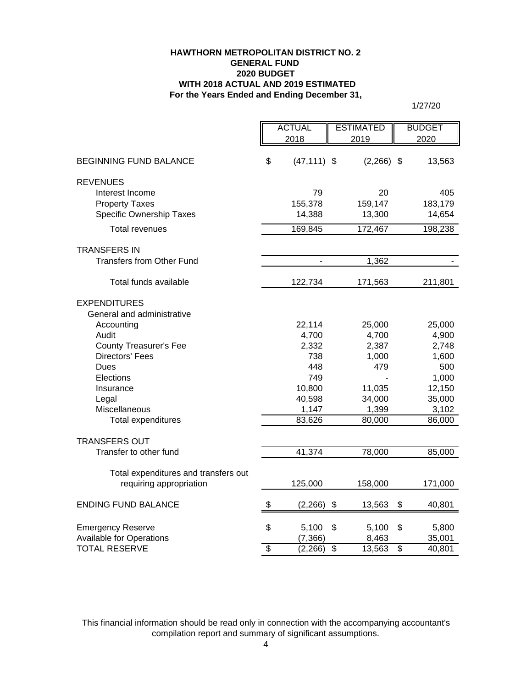#### **For the Years Ended and Ending December 31, HAWTHORN METROPOLITAN DISTRICT NO. 2 GENERAL FUND 2020 BUDGET WITH 2018 ACTUAL AND 2019 ESTIMATED**

1/27/20

|                                      | <b>ACTUAL</b>   |                | <b>ESTIMATED</b>          |              | <b>BUDGET</b> |
|--------------------------------------|-----------------|----------------|---------------------------|--------------|---------------|
|                                      |                 | 2018           |                           | 2019         | 2020          |
| <b>BEGINNING FUND BALANCE</b>        | \$              | $(47, 111)$ \$ |                           | $(2,266)$ \$ | 13,563        |
| <b>REVENUES</b>                      |                 |                |                           |              |               |
| Interest Income                      |                 | 79             |                           | 20           | 405           |
| <b>Property Taxes</b>                |                 | 155,378        |                           | 159,147      | 183,179       |
| Specific Ownership Taxes             |                 | 14,388         |                           | 13,300       | 14,654        |
| <b>Total revenues</b>                |                 | 169,845        |                           | 172,467      | 198,238       |
| <b>TRANSFERS IN</b>                  |                 |                |                           |              |               |
| <b>Transfers from Other Fund</b>     |                 | $\blacksquare$ |                           | 1,362        |               |
| Total funds available                |                 | 122,734        |                           | 171,563      | 211,801       |
| <b>EXPENDITURES</b>                  |                 |                |                           |              |               |
| General and administrative           |                 |                |                           |              |               |
| Accounting                           |                 | 22,114         |                           | 25,000       | 25,000        |
| Audit                                |                 | 4,700          |                           | 4,700        | 4,900         |
| <b>County Treasurer's Fee</b>        |                 | 2,332          |                           | 2,387        | 2,748         |
| <b>Directors' Fees</b>               |                 | 738            |                           | 1,000        | 1,600         |
| Dues                                 |                 | 448            |                           | 479          | 500           |
| Elections                            |                 | 749            |                           |              | 1,000         |
| Insurance                            |                 | 10,800         |                           | 11,035       | 12,150        |
| Legal                                |                 | 40,598         |                           | 34,000       | 35,000        |
| Miscellaneous                        |                 | 1,147          |                           | 1,399        | 3,102         |
| <b>Total expenditures</b>            |                 | 83,626         |                           | 80,000       | 86,000        |
| <b>TRANSFERS OUT</b>                 |                 |                |                           |              |               |
| Transfer to other fund               |                 | 41,374         |                           | 78,000       | 85,000        |
| Total expenditures and transfers out |                 |                |                           |              |               |
| requiring appropriation              |                 | 125,000        |                           | 158,000      | 171,000       |
| <b>ENDING FUND BALANCE</b>           | \$              | (2, 266)       | $\boldsymbol{\mathsf{S}}$ | 13,563       | \$<br>40,801  |
|                                      |                 |                |                           |              |               |
| <b>Emergency Reserve</b>             | \$              | 5,100          | \$                        | 5,100        | \$<br>5,800   |
| <b>Available for Operations</b>      |                 | (7, 366)       |                           | 8,463        | 35,001        |
| <b>TOTAL RESERVE</b>                 | $\overline{\$}$ | (2,266)        | $\overline{\$}$           | 13,563       | \$<br>40,801  |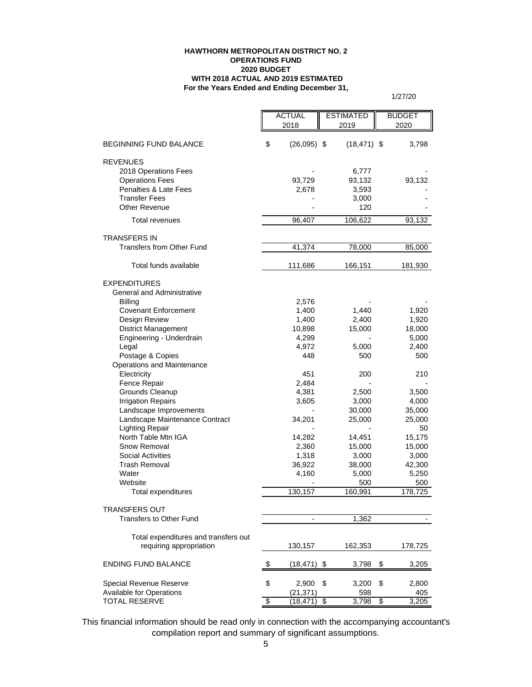#### **HAWTHORN METROPOLITAN DISTRICT NO. 2 OPERATIONS FUND 2020 BUDGET WITH 2018 ACTUAL AND 2019 ESTIMATED For the Years Ended and Ending December 31,**

1/27/20

|                                                          |                 | <b>ACTUAL</b>            | <b>ESTIMATED</b>   |    | <b>BUDGET</b>   |  |
|----------------------------------------------------------|-----------------|--------------------------|--------------------|----|-----------------|--|
|                                                          |                 | 2018                     | 2019               |    | 2020            |  |
|                                                          |                 |                          |                    |    |                 |  |
| <b>BEGINNING FUND BALANCE</b>                            | \$              | $(26,095)$ \$            | $(18, 471)$ \$     |    | 3,798           |  |
| <b>REVENUES</b>                                          |                 |                          |                    |    |                 |  |
| 2018 Operations Fees                                     |                 |                          | 6,777              |    |                 |  |
| <b>Operations Fees</b>                                   |                 | 93,729                   | 93,132             |    | 93,132          |  |
| <b>Penalties &amp; Late Fees</b>                         |                 | 2,678                    | 3,593              |    |                 |  |
| <b>Transfer Fees</b>                                     |                 |                          | 3,000              |    |                 |  |
| <b>Other Revenue</b>                                     |                 |                          | 120                |    |                 |  |
| <b>Total revenues</b>                                    |                 | 96,407                   | 106,622            |    | 93,132          |  |
|                                                          |                 |                          |                    |    |                 |  |
| <b>TRANSFERS IN</b>                                      |                 |                          |                    |    |                 |  |
| Transfers from Other Fund                                |                 | 41,374                   | 78,000             |    | 85,000          |  |
| Total funds available                                    |                 | 111,686                  | 166,151            |    | 181,930         |  |
|                                                          |                 |                          |                    |    |                 |  |
| <b>EXPENDITURES</b><br><b>General and Administrative</b> |                 |                          |                    |    |                 |  |
| <b>Billing</b>                                           |                 | 2,576                    |                    |    |                 |  |
| <b>Covenant Enforcement</b>                              |                 | 1,400                    | 1,440              |    | 1,920           |  |
| Design Review                                            |                 | 1,400                    | 2,400              |    | 1,920           |  |
| <b>District Management</b>                               |                 | 10,898                   | 15,000             |    | 18,000          |  |
| Engineering - Underdrain                                 |                 | 4,299                    |                    |    | 5,000           |  |
| Legal                                                    |                 | 4,972                    | 5,000              |    | 2,400           |  |
| Postage & Copies                                         |                 | 448                      | 500                |    | 500             |  |
| Operations and Maintenance                               |                 |                          |                    |    |                 |  |
| Electricity                                              |                 | 451                      | 200                |    | 210             |  |
| Fence Repair                                             |                 | 2,484                    |                    |    |                 |  |
| Grounds Cleanup                                          |                 | 4,381                    | 2,500              |    | 3,500           |  |
| <b>Irrigation Repairs</b>                                |                 | 3,605                    | 3,000              |    | 4,000           |  |
| Landscape Improvements                                   |                 |                          | 30,000             |    | 35,000          |  |
| Landscape Maintenance Contract                           |                 | 34,201                   | 25,000             |    | 25,000          |  |
| <b>Lighting Repair</b>                                   |                 |                          |                    |    | 50              |  |
| North Table Mtn IGA                                      |                 | 14,282                   | 14,451             |    | 15,175          |  |
| Snow Removal                                             |                 | 2,360                    | 15,000             |    | 15,000          |  |
| <b>Social Activities</b><br><b>Trash Removal</b>         |                 | 1,318                    | 3,000              |    | 3,000<br>42,300 |  |
| Water                                                    |                 | 36,922<br>4,160          | 38,000<br>5,000    |    | 5,250           |  |
| Website                                                  |                 |                          | 500                |    | 500             |  |
| Total expenditures                                       |                 | 130,157                  | 160,991            |    | 178,725         |  |
|                                                          |                 |                          |                    |    |                 |  |
| <b>TRANSFERS OUT</b>                                     |                 |                          |                    |    |                 |  |
| <b>Transfers to Other Fund</b>                           |                 | $\overline{\phantom{0}}$ | 1,362              |    |                 |  |
| Total expenditures and transfers out                     |                 |                          |                    |    |                 |  |
| requiring appropriation                                  |                 | 130,157                  | 162,353            |    | 178,725         |  |
|                                                          |                 |                          |                    |    |                 |  |
| <b>ENDING FUND BALANCE</b>                               | \$              | $(18, 471)$ \$           | 3,798              | \$ | 3,205           |  |
|                                                          |                 |                          |                    |    |                 |  |
| Special Revenue Reserve                                  | \$              | 2,900                    | \$<br>3,200        | \$ | 2,800           |  |
| Available for Operations<br><b>TOTAL RESERVE</b>         | $\overline{\$}$ | (21, 371)<br>(18,471)    | 598<br>\$<br>3,798 | \$ | 405<br>3,205    |  |
|                                                          |                 |                          |                    |    |                 |  |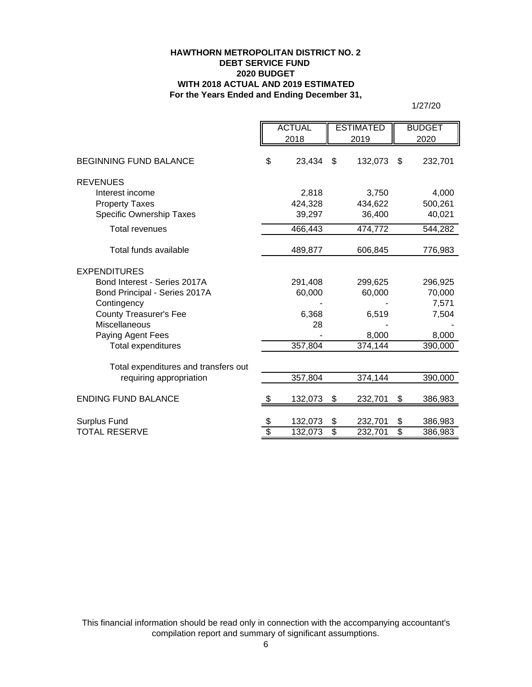#### **HAWTHORN METROPOLITAN DISTRICT NO. 2 DEBT SERVICE FUND 2020 BUDGET WITH 2018 ACTUAL AND 2019 ESTIMATED For the Years Ended and Ending December 31,**

1/27/20

|                                      | <b>ACTUAL</b> |                 | <b>ESTIMATED</b> |                          | <b>BUDGET</b> |
|--------------------------------------|---------------|-----------------|------------------|--------------------------|---------------|
|                                      | 2018          |                 | 2019             |                          | 2020          |
| <b>BEGINNING FUND BALANCE</b>        | \$<br>23,434  | \$              | 132,073          | \$                       | 232,701       |
| <b>REVENUES</b>                      |               |                 |                  |                          |               |
| Interest income                      | 2,818         |                 | 3,750            |                          | 4,000         |
| <b>Property Taxes</b>                | 424,328       |                 | 434,622          |                          | 500,261       |
| Specific Ownership Taxes             | 39,297        |                 | 36,400           |                          | 40,021        |
| <b>Total revenues</b>                | 466,443       |                 | 474,772          |                          | 544,282       |
| Total funds available                | 489,877       |                 | 606,845          |                          | 776,983       |
| <b>EXPENDITURES</b>                  |               |                 |                  |                          |               |
| Bond Interest - Series 2017A         | 291,408       |                 | 299,625          |                          | 296,925       |
| Bond Principal - Series 2017A        | 60,000        |                 | 60,000           |                          | 70,000        |
| Contingency                          |               |                 |                  |                          | 7,571         |
| <b>County Treasurer's Fee</b>        | 6,368         |                 | 6,519            |                          | 7,504         |
| Miscellaneous                        | 28            |                 |                  |                          |               |
| Paying Agent Fees                    |               |                 | 8,000            |                          | 8,000         |
| <b>Total expenditures</b>            | 357,804       |                 | 374,144          |                          | 390,000       |
| Total expenditures and transfers out |               |                 |                  |                          |               |
| requiring appropriation              | 357,804       |                 | 374,144          |                          | 390,000       |
| <b>ENDING FUND BALANCE</b>           | \$<br>132,073 | \$              | 232,701          | \$                       | 386,983       |
| Surplus Fund                         | 132,073       | \$              | 232,701          | \$                       | 386,983       |
| <b>TOTAL RESERVE</b>                 | \$<br>132,073 | $\overline{\$}$ | 232,701          | $\overline{\mathcal{S}}$ | 386,983       |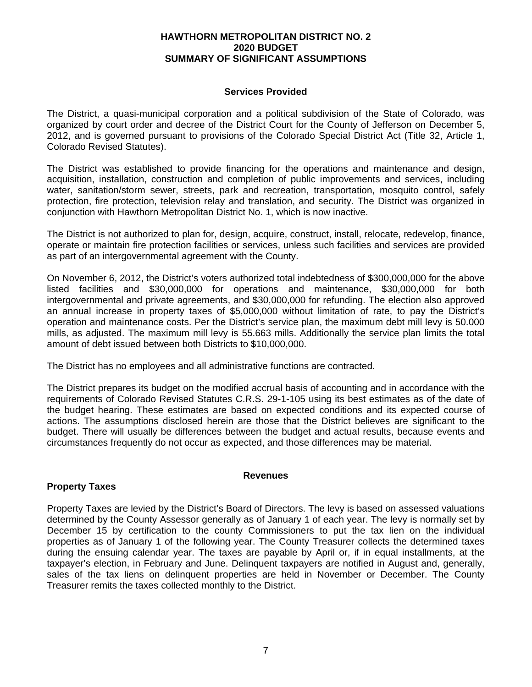## **HAWTHORN METROPOLITAN DISTRICT NO. 2 2020 BUDGET SUMMARY OF SIGNIFICANT ASSUMPTIONS**

## **Services Provided**

The District, a quasi-municipal corporation and a political subdivision of the State of Colorado, was organized by court order and decree of the District Court for the County of Jefferson on December 5, 2012, and is governed pursuant to provisions of the Colorado Special District Act (Title 32, Article 1, Colorado Revised Statutes).

The District was established to provide financing for the operations and maintenance and design, acquisition, installation, construction and completion of public improvements and services, including water, sanitation/storm sewer, streets, park and recreation, transportation, mosquito control, safely protection, fire protection, television relay and translation, and security. The District was organized in conjunction with Hawthorn Metropolitan District No. 1, which is now inactive.

The District is not authorized to plan for, design, acquire, construct, install, relocate, redevelop, finance, operate or maintain fire protection facilities or services, unless such facilities and services are provided as part of an intergovernmental agreement with the County.

On November 6, 2012, the District's voters authorized total indebtedness of \$300,000,000 for the above listed facilities and \$30,000,000 for operations and maintenance, \$30,000,000 for both intergovernmental and private agreements, and \$30,000,000 for refunding. The election also approved an annual increase in property taxes of \$5,000,000 without limitation of rate, to pay the District's operation and maintenance costs. Per the District's service plan, the maximum debt mill levy is 50.000 mills, as adjusted. The maximum mill levy is 55.663 mills. Additionally the service plan limits the total amount of debt issued between both Districts to \$10,000,000.

The District has no employees and all administrative functions are contracted.

The District prepares its budget on the modified accrual basis of accounting and in accordance with the requirements of Colorado Revised Statutes C.R.S. 29-1-105 using its best estimates as of the date of the budget hearing. These estimates are based on expected conditions and its expected course of actions. The assumptions disclosed herein are those that the District believes are significant to the budget. There will usually be differences between the budget and actual results, because events and circumstances frequently do not occur as expected, and those differences may be material.

## **Revenues**

# **Property Taxes**

Property Taxes are levied by the District's Board of Directors. The levy is based on assessed valuations determined by the County Assessor generally as of January 1 of each year. The levy is normally set by December 15 by certification to the county Commissioners to put the tax lien on the individual properties as of January 1 of the following year. The County Treasurer collects the determined taxes during the ensuing calendar year. The taxes are payable by April or, if in equal installments, at the taxpayer's election, in February and June. Delinquent taxpayers are notified in August and, generally, sales of the tax liens on delinquent properties are held in November or December. The County Treasurer remits the taxes collected monthly to the District.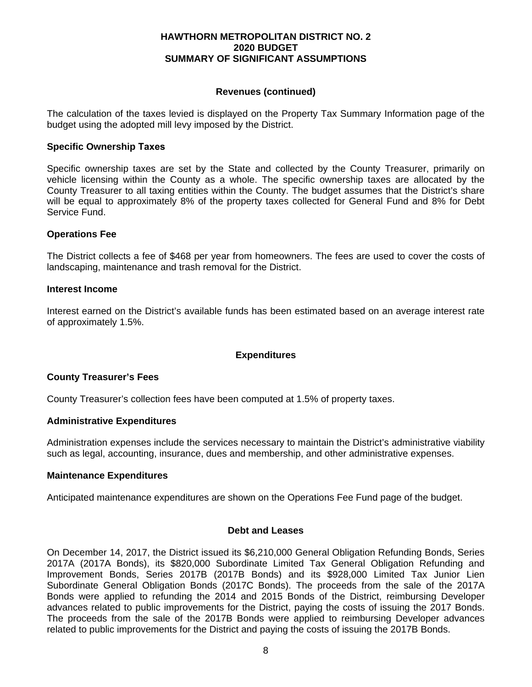## **HAWTHORN METROPOLITAN DISTRICT NO. 2 2020 BUDGET SUMMARY OF SIGNIFICANT ASSUMPTIONS**

## **Revenues (continued)**

The calculation of the taxes levied is displayed on the Property Tax Summary Information page of the budget using the adopted mill levy imposed by the District.

## **Specific Ownership Taxes**

Specific ownership taxes are set by the State and collected by the County Treasurer, primarily on vehicle licensing within the County as a whole. The specific ownership taxes are allocated by the County Treasurer to all taxing entities within the County. The budget assumes that the District's share will be equal to approximately 8% of the property taxes collected for General Fund and 8% for Debt Service Fund.

## **Operations Fee**

The District collects a fee of \$468 per year from homeowners. The fees are used to cover the costs of landscaping, maintenance and trash removal for the District.

## **Interest Income**

Interest earned on the District's available funds has been estimated based on an average interest rate of approximately 1.5%.

# **Expenditures**

# **County Treasurer's Fees**

County Treasurer's collection fees have been computed at 1.5% of property taxes.

## **Administrative Expenditures**

Administration expenses include the services necessary to maintain the District's administrative viability such as legal, accounting, insurance, dues and membership, and other administrative expenses.

## **Maintenance Expenditures**

Anticipated maintenance expenditures are shown on the Operations Fee Fund page of the budget.

## **Debt and Leases**

On December 14, 2017, the District issued its \$6,210,000 General Obligation Refunding Bonds, Series 2017A (2017A Bonds), its \$820,000 Subordinate Limited Tax General Obligation Refunding and Improvement Bonds, Series 2017B (2017B Bonds) and its \$928,000 Limited Tax Junior Lien Subordinate General Obligation Bonds (2017C Bonds). The proceeds from the sale of the 2017A Bonds were applied to refunding the 2014 and 2015 Bonds of the District, reimbursing Developer advances related to public improvements for the District, paying the costs of issuing the 2017 Bonds. The proceeds from the sale of the 2017B Bonds were applied to reimbursing Developer advances related to public improvements for the District and paying the costs of issuing the 2017B Bonds.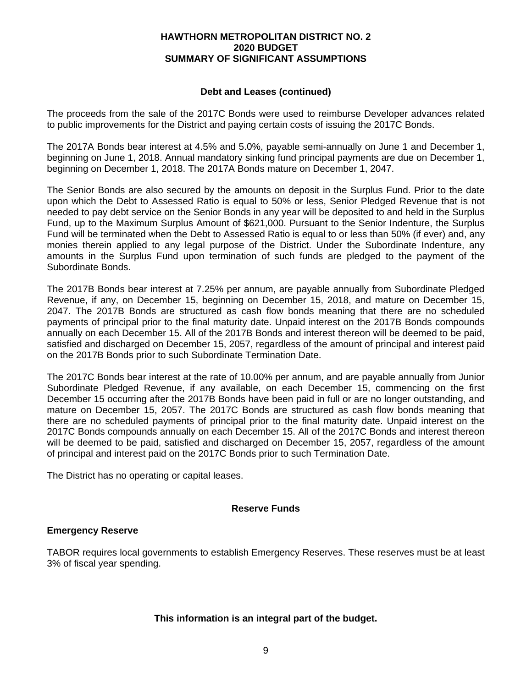## **HAWTHORN METROPOLITAN DISTRICT NO. 2 2020 BUDGET SUMMARY OF SIGNIFICANT ASSUMPTIONS**

## **Debt and Leases (continued)**

The proceeds from the sale of the 2017C Bonds were used to reimburse Developer advances related to public improvements for the District and paying certain costs of issuing the 2017C Bonds.

The 2017A Bonds bear interest at 4.5% and 5.0%, payable semi-annually on June 1 and December 1, beginning on June 1, 2018. Annual mandatory sinking fund principal payments are due on December 1, beginning on December 1, 2018. The 2017A Bonds mature on December 1, 2047.

The Senior Bonds are also secured by the amounts on deposit in the Surplus Fund. Prior to the date upon which the Debt to Assessed Ratio is equal to 50% or less, Senior Pledged Revenue that is not needed to pay debt service on the Senior Bonds in any year will be deposited to and held in the Surplus Fund, up to the Maximum Surplus Amount of \$621,000. Pursuant to the Senior Indenture, the Surplus Fund will be terminated when the Debt to Assessed Ratio is equal to or less than 50% (if ever) and, any monies therein applied to any legal purpose of the District. Under the Subordinate Indenture, any amounts in the Surplus Fund upon termination of such funds are pledged to the payment of the Subordinate Bonds.

The 2017B Bonds bear interest at 7.25% per annum, are payable annually from Subordinate Pledged Revenue, if any, on December 15, beginning on December 15, 2018, and mature on December 15, 2047. The 2017B Bonds are structured as cash flow bonds meaning that there are no scheduled payments of principal prior to the final maturity date. Unpaid interest on the 2017B Bonds compounds annually on each December 15. All of the 2017B Bonds and interest thereon will be deemed to be paid, satisfied and discharged on December 15, 2057, regardless of the amount of principal and interest paid on the 2017B Bonds prior to such Subordinate Termination Date.

The 2017C Bonds bear interest at the rate of 10.00% per annum, and are payable annually from Junior Subordinate Pledged Revenue, if any available, on each December 15, commencing on the first December 15 occurring after the 2017B Bonds have been paid in full or are no longer outstanding, and mature on December 15, 2057. The 2017C Bonds are structured as cash flow bonds meaning that there are no scheduled payments of principal prior to the final maturity date. Unpaid interest on the 2017C Bonds compounds annually on each December 15. All of the 2017C Bonds and interest thereon will be deemed to be paid, satisfied and discharged on December 15, 2057, regardless of the amount of principal and interest paid on the 2017C Bonds prior to such Termination Date.

The District has no operating or capital leases.

# **Reserve Funds**

# **Emergency Reserve**

TABOR requires local governments to establish Emergency Reserves. These reserves must be at least 3% of fiscal year spending.

# **This information is an integral part of the budget.**